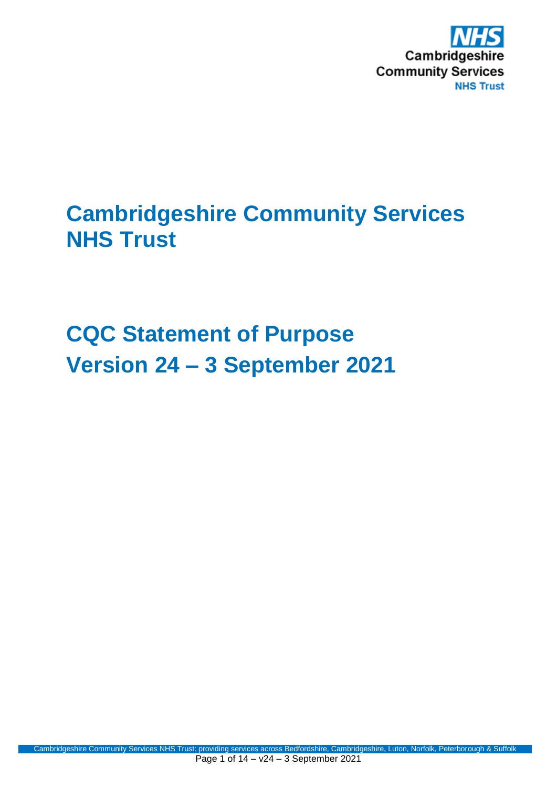

# **Cambridgeshire Community Services NHS Trust**

**CQC Statement of Purpose Version 24 – 3 September 2021**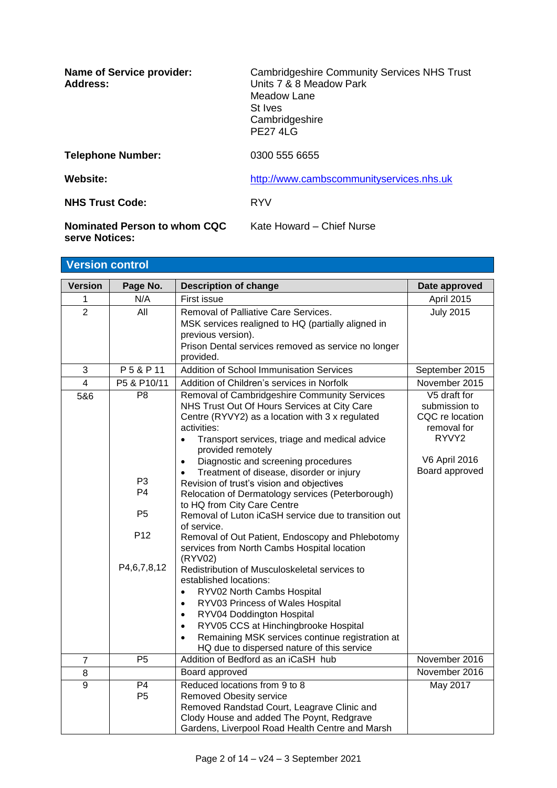| <b>Name of Service provider:</b><br>Address:   | <b>Cambridgeshire Community Services NHS Trust</b><br>Units 7 & 8 Meadow Park<br>Meadow Lane<br>St Ives<br>Cambridgeshire<br><b>PF2741G</b> |
|------------------------------------------------|---------------------------------------------------------------------------------------------------------------------------------------------|
| <b>Telephone Number:</b>                       | 0300 555 6655                                                                                                                               |
| Website:                                       | http://www.cambscommunityservices.nhs.uk                                                                                                    |
| <b>NHS Trust Code:</b>                         | <b>RYV</b>                                                                                                                                  |
| Nominated Person to whom CQC<br>serve Notices: | Kate Howard - Chief Nurse                                                                                                                   |

| <b>Version control</b> |                                                                                            |                                                                                                                                                                                                                                                                                                                                                                                                                                                                                                                                                                                                                                                                                                                                                                                                                                                                                                                                                                                                               |                                                                                                                    |
|------------------------|--------------------------------------------------------------------------------------------|---------------------------------------------------------------------------------------------------------------------------------------------------------------------------------------------------------------------------------------------------------------------------------------------------------------------------------------------------------------------------------------------------------------------------------------------------------------------------------------------------------------------------------------------------------------------------------------------------------------------------------------------------------------------------------------------------------------------------------------------------------------------------------------------------------------------------------------------------------------------------------------------------------------------------------------------------------------------------------------------------------------|--------------------------------------------------------------------------------------------------------------------|
| <b>Version</b>         | Page No.                                                                                   | <b>Description of change</b>                                                                                                                                                                                                                                                                                                                                                                                                                                                                                                                                                                                                                                                                                                                                                                                                                                                                                                                                                                                  | Date approved                                                                                                      |
| 1                      | N/A                                                                                        | First issue                                                                                                                                                                                                                                                                                                                                                                                                                                                                                                                                                                                                                                                                                                                                                                                                                                                                                                                                                                                                   | <b>April 2015</b>                                                                                                  |
| $\overline{2}$         | All                                                                                        | Removal of Palliative Care Services.<br>MSK services realigned to HQ (partially aligned in<br>previous version).<br>Prison Dental services removed as service no longer<br>provided.                                                                                                                                                                                                                                                                                                                                                                                                                                                                                                                                                                                                                                                                                                                                                                                                                          | <b>July 2015</b>                                                                                                   |
| 3                      | P5&P11                                                                                     | <b>Addition of School Immunisation Services</b>                                                                                                                                                                                                                                                                                                                                                                                                                                                                                                                                                                                                                                                                                                                                                                                                                                                                                                                                                               | September 2015                                                                                                     |
| $\overline{4}$         | P5 & P10/11                                                                                | Addition of Children's services in Norfolk                                                                                                                                                                                                                                                                                                                                                                                                                                                                                                                                                                                                                                                                                                                                                                                                                                                                                                                                                                    | November 2015                                                                                                      |
| 5&6                    | P <sub>8</sub><br>P <sub>3</sub><br>P4<br>P <sub>5</sub><br>P <sub>12</sub><br>P4,6,7,8,12 | Removal of Cambridgeshire Community Services<br>NHS Trust Out Of Hours Services at City Care<br>Centre (RYVY2) as a location with 3 x regulated<br>activities:<br>Transport services, triage and medical advice<br>$\bullet$<br>provided remotely<br>Diagnostic and screening procedures<br>$\bullet$<br>Treatment of disease, disorder or injury<br>Revision of trust's vision and objectives<br>Relocation of Dermatology services (Peterborough)<br>to HQ from City Care Centre<br>Removal of Luton iCaSH service due to transition out<br>of service.<br>Removal of Out Patient, Endoscopy and Phlebotomy<br>services from North Cambs Hospital location<br>(RYV02)<br>Redistribution of Musculoskeletal services to<br>established locations:<br>RYV02 North Cambs Hospital<br>$\bullet$<br>RYV03 Princess of Wales Hospital<br>$\bullet$<br>RYV04 Doddington Hospital<br>$\bullet$<br>RYV05 CCS at Hinchingbrooke Hospital<br>$\bullet$<br>Remaining MSK services continue registration at<br>$\bullet$ | V5 draft for<br>submission to<br>CQC re location<br>removal for<br>RYVY2<br><b>V6 April 2016</b><br>Board approved |
| $\overline{7}$         | P <sub>5</sub>                                                                             | HQ due to dispersed nature of this service<br>Addition of Bedford as an iCaSH hub                                                                                                                                                                                                                                                                                                                                                                                                                                                                                                                                                                                                                                                                                                                                                                                                                                                                                                                             | November 2016                                                                                                      |
| 8                      |                                                                                            | Board approved                                                                                                                                                                                                                                                                                                                                                                                                                                                                                                                                                                                                                                                                                                                                                                                                                                                                                                                                                                                                | November 2016                                                                                                      |
| $\overline{9}$         | P <sub>4</sub><br>P <sub>5</sub>                                                           | Reduced locations from 9 to 8<br><b>Removed Obesity service</b><br>Removed Randstad Court, Leagrave Clinic and<br>Clody House and added The Poynt, Redgrave<br>Gardens, Liverpool Road Health Centre and Marsh                                                                                                                                                                                                                                                                                                                                                                                                                                                                                                                                                                                                                                                                                                                                                                                                | May 2017                                                                                                           |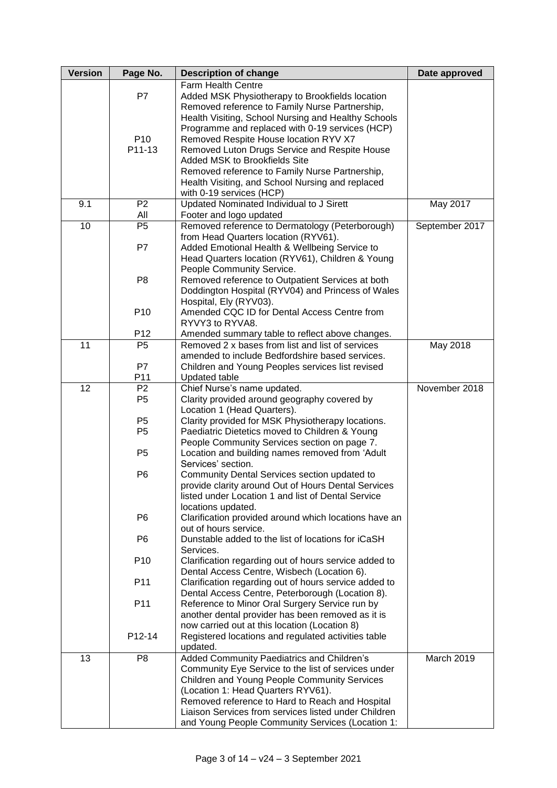| <b>Version</b> | Page No.        | <b>Description of change</b>                          | Date approved  |
|----------------|-----------------|-------------------------------------------------------|----------------|
|                |                 | Farm Health Centre                                    |                |
|                | P7              | Added MSK Physiotherapy to Brookfields location       |                |
|                |                 | Removed reference to Family Nurse Partnership,        |                |
|                |                 | Health Visiting, School Nursing and Healthy Schools   |                |
|                |                 | Programme and replaced with 0-19 services (HCP)       |                |
|                | P <sub>10</sub> | Removed Respite House location RYV X7                 |                |
|                | P11-13          | Removed Luton Drugs Service and Respite House         |                |
|                |                 | Added MSK to Brookfields Site                         |                |
|                |                 | Removed reference to Family Nurse Partnership,        |                |
|                |                 | Health Visiting, and School Nursing and replaced      |                |
|                |                 | with 0-19 services (HCP)                              |                |
| 9.1            | P <sub>2</sub>  | Updated Nominated Individual to J Sirett              | May 2017       |
|                | All             | Footer and logo updated                               |                |
| 10             | P <sub>5</sub>  | Removed reference to Dermatology (Peterborough)       | September 2017 |
|                |                 | from Head Quarters location (RYV61).                  |                |
|                | P7              | Added Emotional Health & Wellbeing Service to         |                |
|                |                 | Head Quarters location (RYV61), Children & Young      |                |
|                |                 | People Community Service.                             |                |
|                | P <sub>8</sub>  | Removed reference to Outpatient Services at both      |                |
|                |                 | Doddington Hospital (RYV04) and Princess of Wales     |                |
|                |                 | Hospital, Ely (RYV03).                                |                |
|                | P <sub>10</sub> | Amended CQC ID for Dental Access Centre from          |                |
|                |                 | RYVY3 to RYVA8.                                       |                |
|                | P <sub>12</sub> | Amended summary table to reflect above changes.       |                |
| 11             | P <sub>5</sub>  | Removed 2 x bases from list and list of services      | May 2018       |
|                |                 | amended to include Bedfordshire based services.       |                |
|                | P7              | Children and Young Peoples services list revised      |                |
|                | P11             | <b>Updated table</b>                                  |                |
| 12             | P <sub>2</sub>  | Chief Nurse's name updated.                           | November 2018  |
|                | P <sub>5</sub>  | Clarity provided around geography covered by          |                |
|                |                 | Location 1 (Head Quarters).                           |                |
|                | P <sub>5</sub>  | Clarity provided for MSK Physiotherapy locations.     |                |
|                | P <sub>5</sub>  | Paediatric Dietetics moved to Children & Young        |                |
|                |                 | People Community Services section on page 7.          |                |
|                | P <sub>5</sub>  | Location and building names removed from 'Adult       |                |
|                |                 | Services' section.                                    |                |
|                | P <sub>6</sub>  | Community Dental Services section updated to          |                |
|                |                 | provide clarity around Out of Hours Dental Services   |                |
|                |                 | listed under Location 1 and list of Dental Service    |                |
|                |                 | locations updated.                                    |                |
|                | P <sub>6</sub>  | Clarification provided around which locations have an |                |
|                |                 | out of hours service.                                 |                |
|                | P <sub>6</sub>  | Dunstable added to the list of locations for iCaSH    |                |
|                |                 | Services.                                             |                |
|                | P <sub>10</sub> | Clarification regarding out of hours service added to |                |
|                |                 | Dental Access Centre, Wisbech (Location 6).           |                |
|                | P11             | Clarification regarding out of hours service added to |                |
|                |                 | Dental Access Centre, Peterborough (Location 8).      |                |
|                | P11             | Reference to Minor Oral Surgery Service run by        |                |
|                |                 | another dental provider has been removed as it is     |                |
|                |                 | now carried out at this location (Location 8)         |                |
|                | P12-14          | Registered locations and regulated activities table   |                |
|                |                 | updated.                                              |                |
| 13             | P <sub>8</sub>  | Added Community Paediatrics and Children's            | March 2019     |
|                |                 | Community Eye Service to the list of services under   |                |
|                |                 | Children and Young People Community Services          |                |
|                |                 | (Location 1: Head Quarters RYV61).                    |                |
|                |                 | Removed reference to Hard to Reach and Hospital       |                |
|                |                 | Liaison Services from services listed under Children  |                |
|                |                 | and Young People Community Services (Location 1:      |                |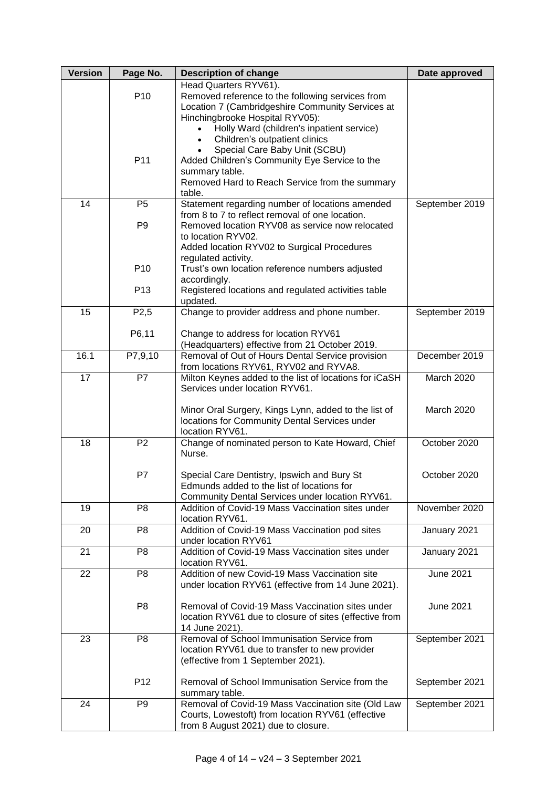| <b>Version</b> | Page No.          | <b>Description of change</b>                                      | Date approved    |
|----------------|-------------------|-------------------------------------------------------------------|------------------|
|                |                   | Head Quarters RYV61).                                             |                  |
|                | P <sub>10</sub>   | Removed reference to the following services from                  |                  |
|                |                   | Location 7 (Cambridgeshire Community Services at                  |                  |
|                |                   | Hinchingbrooke Hospital RYV05):                                   |                  |
|                |                   | Holly Ward (children's inpatient service)                         |                  |
|                |                   | Children's outpatient clinics                                     |                  |
|                | P11               | Special Care Baby Unit (SCBU)                                     |                  |
|                |                   | Added Children's Community Eye Service to the<br>summary table.   |                  |
|                |                   | Removed Hard to Reach Service from the summary                    |                  |
|                |                   | table.                                                            |                  |
| 14             | P <sub>5</sub>    | Statement regarding number of locations amended                   | September 2019   |
|                |                   | from 8 to 7 to reflect removal of one location.                   |                  |
|                | P <sub>9</sub>    | Removed location RYV08 as service now relocated                   |                  |
|                |                   | to location RYV02.                                                |                  |
|                |                   | Added location RYV02 to Surgical Procedures                       |                  |
|                |                   | regulated activity.                                               |                  |
|                | P <sub>10</sub>   | Trust's own location reference numbers adjusted                   |                  |
|                |                   | accordingly.                                                      |                  |
|                | P <sub>13</sub>   | Registered locations and regulated activities table               |                  |
| 15             |                   | updated.                                                          |                  |
|                | P <sub>2</sub> ,5 | Change to provider address and phone number.                      | September 2019   |
|                | P6,11             | Change to address for location RYV61                              |                  |
|                |                   | (Headquarters) effective from 21 October 2019.                    |                  |
| 16.1           | P7,9,10           | Removal of Out of Hours Dental Service provision                  | December 2019    |
|                |                   | from locations RYV61, RYV02 and RYVA8.                            |                  |
| 17             | $\overline{P}$    | Milton Keynes added to the list of locations for iCaSH            | March 2020       |
|                |                   | Services under location RYV61.                                    |                  |
|                |                   |                                                                   |                  |
|                |                   | Minor Oral Surgery, Kings Lynn, added to the list of              | March 2020       |
|                |                   | locations for Community Dental Services under                     |                  |
| 18             | P <sub>2</sub>    | location RYV61.                                                   | October 2020     |
|                |                   | Change of nominated person to Kate Howard, Chief<br>Nurse.        |                  |
|                |                   |                                                                   |                  |
|                | P7                | Special Care Dentistry, Ipswich and Bury St                       | October 2020     |
|                |                   | Edmunds added to the list of locations for                        |                  |
|                |                   | Community Dental Services under location RYV61.                   |                  |
| 19             | P <sub>8</sub>    | Addition of Covid-19 Mass Vaccination sites under                 | November 2020    |
|                |                   | location RYV61.                                                   |                  |
| 20             | P <sub>8</sub>    | Addition of Covid-19 Mass Vaccination pod sites                   | January 2021     |
|                |                   | under location RYV61                                              |                  |
| 21             | P <sub>8</sub>    | Addition of Covid-19 Mass Vaccination sites under                 | January 2021     |
|                | P <sub>8</sub>    | location RYV61.<br>Addition of new Covid-19 Mass Vaccination site | <b>June 2021</b> |
| 22             |                   | under location RYV61 (effective from 14 June 2021).               |                  |
|                |                   |                                                                   |                  |
|                | P <sub>8</sub>    | Removal of Covid-19 Mass Vaccination sites under                  | <b>June 2021</b> |
|                |                   | location RYV61 due to closure of sites (effective from            |                  |
|                |                   | 14 June 2021).                                                    |                  |
| 23             | P <sub>8</sub>    | Removal of School Immunisation Service from                       | September 2021   |
|                |                   | location RYV61 due to transfer to new provider                    |                  |
|                |                   | (effective from 1 September 2021).                                |                  |
|                |                   |                                                                   |                  |
|                | P <sub>12</sub>   | Removal of School Immunisation Service from the                   | September 2021   |
|                |                   | summary table.                                                    |                  |
| 24             | P <sub>9</sub>    | Removal of Covid-19 Mass Vaccination site (Old Law                | September 2021   |
|                |                   | Courts, Lowestoft) from location RYV61 (effective                 |                  |
|                |                   | from 8 August 2021) due to closure.                               |                  |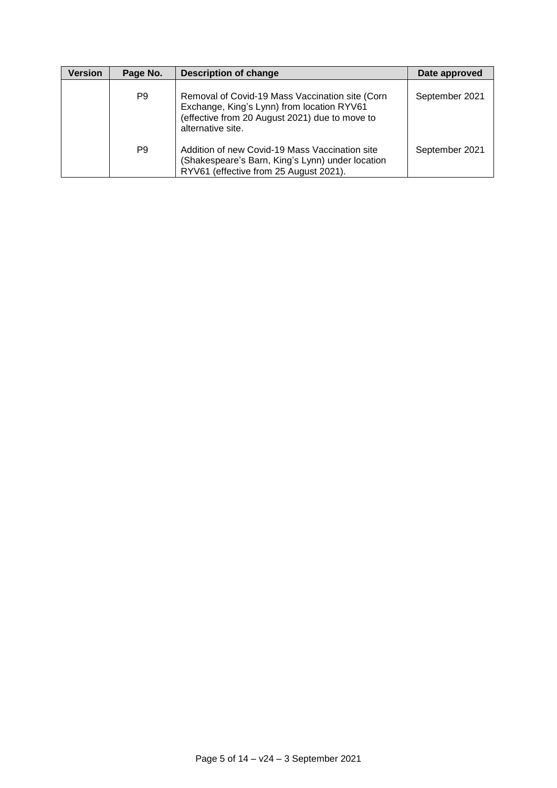| <b>Version</b> | Page No. | <b>Description of change</b>                                                                                                                                         | Date approved  |
|----------------|----------|----------------------------------------------------------------------------------------------------------------------------------------------------------------------|----------------|
|                | P9       | Removal of Covid-19 Mass Vaccination site (Corn<br>Exchange, King's Lynn) from location RYV61<br>(effective from 20 August 2021) due to move to<br>alternative site. | September 2021 |
|                | P9       | Addition of new Covid-19 Mass Vaccination site<br>(Shakespeare's Barn, King's Lynn) under location<br>RYV61 (effective from 25 August 2021).                         | September 2021 |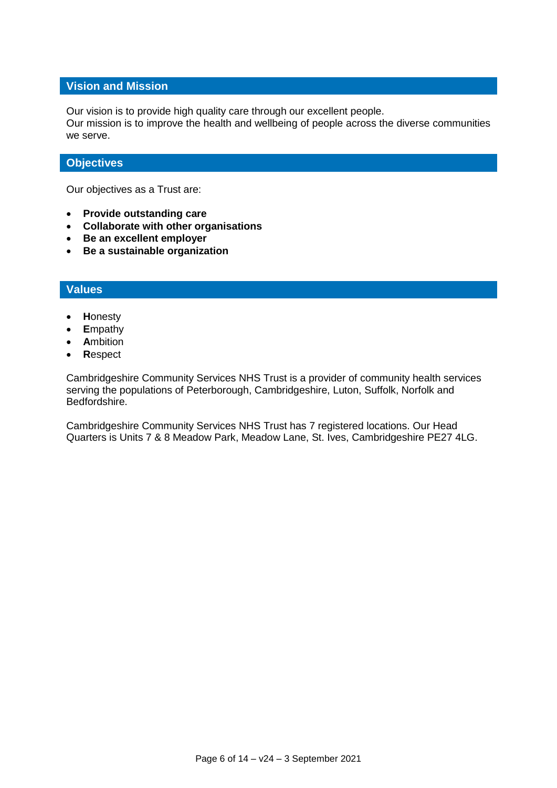#### **Vision and Mission**

Our vision is to provide high quality care through our excellent people.

Our mission is to improve the health and wellbeing of people across the diverse communities we serve.

### **Objectives**

Our objectives as a Trust are:

- **Provide outstanding care**
- **Collaborate with other organisations**
- **Be an excellent employer**
- **Be a sustainable organization**

### **Values**

- **H**onesty
- **E**mpathy
- **A**mbition
- **R**espect

Cambridgeshire Community Services NHS Trust is a provider of community health services serving the populations of Peterborough, Cambridgeshire, Luton, Suffolk, Norfolk and Bedfordshire.

Cambridgeshire Community Services NHS Trust has 7 registered locations. Our Head Quarters is Units 7 & 8 Meadow Park, Meadow Lane, St. Ives, Cambridgeshire PE27 4LG.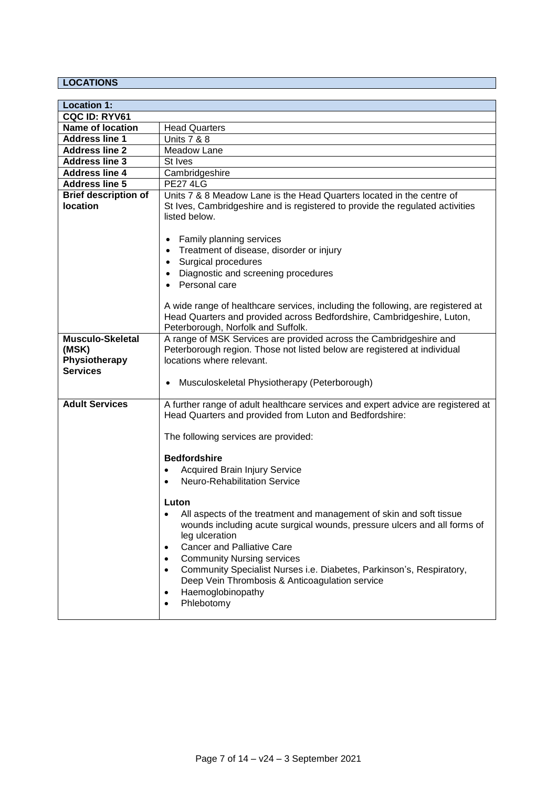## **LOCATIONS**

| <b>Location 1:</b>                                                   |                                                                                                                                                                                                                                                                                                                                                                                                                                                                                                 |
|----------------------------------------------------------------------|-------------------------------------------------------------------------------------------------------------------------------------------------------------------------------------------------------------------------------------------------------------------------------------------------------------------------------------------------------------------------------------------------------------------------------------------------------------------------------------------------|
| CQC ID: RYV61                                                        |                                                                                                                                                                                                                                                                                                                                                                                                                                                                                                 |
| <b>Name of location</b>                                              | <b>Head Quarters</b>                                                                                                                                                                                                                                                                                                                                                                                                                                                                            |
| <b>Address line 1</b>                                                | <b>Units 7 &amp; 8</b>                                                                                                                                                                                                                                                                                                                                                                                                                                                                          |
| <b>Address line 2</b>                                                | Meadow Lane                                                                                                                                                                                                                                                                                                                                                                                                                                                                                     |
| <b>Address line 3</b>                                                | St Ives                                                                                                                                                                                                                                                                                                                                                                                                                                                                                         |
| <b>Address line 4</b>                                                | Cambridgeshire                                                                                                                                                                                                                                                                                                                                                                                                                                                                                  |
| <b>Address line 5</b>                                                | <b>PE27 4LG</b>                                                                                                                                                                                                                                                                                                                                                                                                                                                                                 |
| <b>Brief description of</b><br><b>location</b>                       | Units 7 & 8 Meadow Lane is the Head Quarters located in the centre of<br>St Ives, Cambridgeshire and is registered to provide the regulated activities<br>listed below.                                                                                                                                                                                                                                                                                                                         |
|                                                                      | <b>Family planning services</b><br>Treatment of disease, disorder or injury<br>Surgical procedures<br>Diagnostic and screening procedures<br>Personal care                                                                                                                                                                                                                                                                                                                                      |
|                                                                      | A wide range of healthcare services, including the following, are registered at<br>Head Quarters and provided across Bedfordshire, Cambridgeshire, Luton,<br>Peterborough, Norfolk and Suffolk.                                                                                                                                                                                                                                                                                                 |
| <b>Musculo-Skeletal</b><br>(MSK)<br>Physiotherapy<br><b>Services</b> | A range of MSK Services are provided across the Cambridgeshire and<br>Peterborough region. Those not listed below are registered at individual<br>locations where relevant.<br>Musculoskeletal Physiotherapy (Peterborough)                                                                                                                                                                                                                                                                     |
| <b>Adult Services</b>                                                | A further range of adult healthcare services and expert advice are registered at<br>Head Quarters and provided from Luton and Bedfordshire:                                                                                                                                                                                                                                                                                                                                                     |
|                                                                      | The following services are provided:                                                                                                                                                                                                                                                                                                                                                                                                                                                            |
|                                                                      | <b>Bedfordshire</b><br><b>Acquired Brain Injury Service</b><br>$\bullet$<br><b>Neuro-Rehabilitation Service</b><br>$\bullet$                                                                                                                                                                                                                                                                                                                                                                    |
|                                                                      | Luton<br>All aspects of the treatment and management of skin and soft tissue<br>$\bullet$<br>wounds including acute surgical wounds, pressure ulcers and all forms of<br>leg ulceration<br><b>Cancer and Palliative Care</b><br>$\bullet$<br><b>Community Nursing services</b><br>$\bullet$<br>Community Specialist Nurses i.e. Diabetes, Parkinson's, Respiratory,<br>$\bullet$<br>Deep Vein Thrombosis & Anticoagulation service<br>Haemoglobinopathy<br>$\bullet$<br>Phlebotomy<br>$\bullet$ |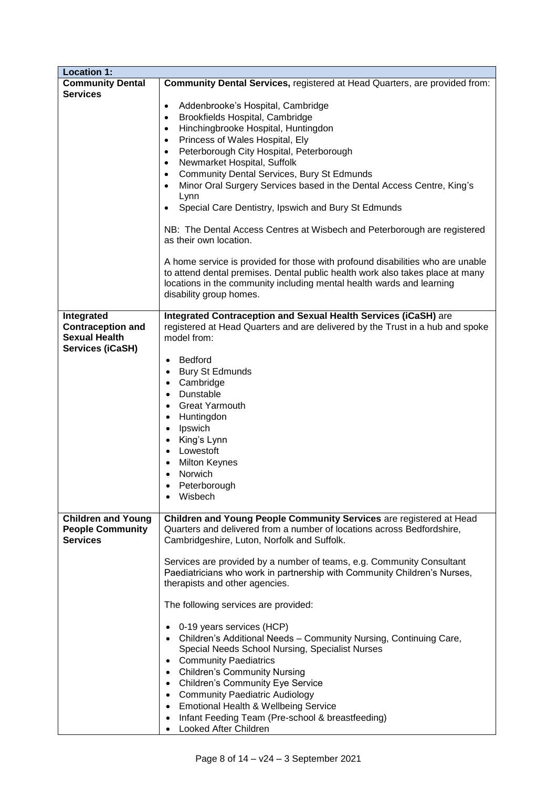| <b>Location 1:</b>                                                                        |                                                                                                                                                                                                                                                                                                                                                                                                                                                                                                                                                                                                                                                                                                                                                                                                                                                                                                                                                        |
|-------------------------------------------------------------------------------------------|--------------------------------------------------------------------------------------------------------------------------------------------------------------------------------------------------------------------------------------------------------------------------------------------------------------------------------------------------------------------------------------------------------------------------------------------------------------------------------------------------------------------------------------------------------------------------------------------------------------------------------------------------------------------------------------------------------------------------------------------------------------------------------------------------------------------------------------------------------------------------------------------------------------------------------------------------------|
| <b>Community Dental</b><br><b>Services</b>                                                | Community Dental Services, registered at Head Quarters, are provided from:                                                                                                                                                                                                                                                                                                                                                                                                                                                                                                                                                                                                                                                                                                                                                                                                                                                                             |
|                                                                                           | Addenbrooke's Hospital, Cambridge<br>$\bullet$<br>Brookfields Hospital, Cambridge<br>$\bullet$<br>Hinchingbrooke Hospital, Huntingdon<br>$\bullet$<br>Princess of Wales Hospital, Ely<br>$\bullet$<br>Peterborough City Hospital, Peterborough<br>$\bullet$<br>Newmarket Hospital, Suffolk<br>$\bullet$<br><b>Community Dental Services, Bury St Edmunds</b><br>$\bullet$<br>Minor Oral Surgery Services based in the Dental Access Centre, King's<br>$\bullet$<br>Lynn<br>Special Care Dentistry, Ipswich and Bury St Edmunds<br>$\bullet$<br>NB: The Dental Access Centres at Wisbech and Peterborough are registered<br>as their own location.<br>A home service is provided for those with profound disabilities who are unable<br>to attend dental premises. Dental public health work also takes place at many                                                                                                                                   |
|                                                                                           | locations in the community including mental health wards and learning<br>disability group homes.                                                                                                                                                                                                                                                                                                                                                                                                                                                                                                                                                                                                                                                                                                                                                                                                                                                       |
| Integrated<br><b>Contraception and</b><br><b>Sexual Health</b><br><b>Services (iCaSH)</b> | Integrated Contraception and Sexual Health Services (iCaSH) are<br>registered at Head Quarters and are delivered by the Trust in a hub and spoke<br>model from:<br><b>Bedford</b><br>$\bullet$<br><b>Bury St Edmunds</b><br>$\bullet$<br>Cambridge<br>$\bullet$<br>Dunstable<br>$\bullet$<br><b>Great Yarmouth</b><br>$\bullet$<br>Huntingdon<br>$\bullet$<br>Ipswich<br>$\bullet$<br>King's Lynn<br>$\bullet$<br>Lowestoft<br>$\bullet$<br><b>Milton Keynes</b><br>$\bullet$<br><b>Norwich</b><br>$\bullet$<br>Peterborough<br>Wisbech                                                                                                                                                                                                                                                                                                                                                                                                                |
| <b>Children and Young</b><br><b>People Community</b><br><b>Services</b>                   | Children and Young People Community Services are registered at Head<br>Quarters and delivered from a number of locations across Bedfordshire,<br>Cambridgeshire, Luton, Norfolk and Suffolk.<br>Services are provided by a number of teams, e.g. Community Consultant<br>Paediatricians who work in partnership with Community Children's Nurses,<br>therapists and other agencies.<br>The following services are provided:<br>0-19 years services (HCP)<br>٠<br>Children's Additional Needs - Community Nursing, Continuing Care,<br>Special Needs School Nursing, Specialist Nurses<br><b>Community Paediatrics</b><br>$\bullet$<br><b>Children's Community Nursing</b><br>$\bullet$<br><b>Children's Community Eye Service</b><br>$\bullet$<br><b>Community Paediatric Audiology</b><br>$\bullet$<br><b>Emotional Health &amp; Wellbeing Service</b><br>$\bullet$<br>Infant Feeding Team (Pre-school & breastfeeding)<br>٠<br>Looked After Children |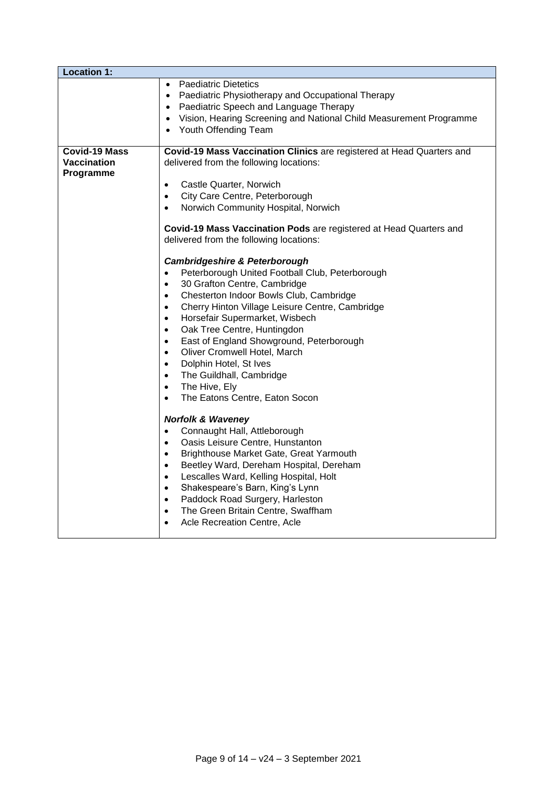| <b>Location 1:</b>                                      |                                                                                                                                                                                                                                                                                                                                                                                                                                                                                                                                                                                                                                                                                                                                                                                                                                                                                                                                                                                                                                                                                                                                                                                                                                                                                                                                                                                                                                                                                                                     |
|---------------------------------------------------------|---------------------------------------------------------------------------------------------------------------------------------------------------------------------------------------------------------------------------------------------------------------------------------------------------------------------------------------------------------------------------------------------------------------------------------------------------------------------------------------------------------------------------------------------------------------------------------------------------------------------------------------------------------------------------------------------------------------------------------------------------------------------------------------------------------------------------------------------------------------------------------------------------------------------------------------------------------------------------------------------------------------------------------------------------------------------------------------------------------------------------------------------------------------------------------------------------------------------------------------------------------------------------------------------------------------------------------------------------------------------------------------------------------------------------------------------------------------------------------------------------------------------|
|                                                         | • Paediatric Dietetics<br>• Paediatric Physiotherapy and Occupational Therapy<br>• Paediatric Speech and Language Therapy<br>Vision, Hearing Screening and National Child Measurement Programme<br>Youth Offending Team                                                                                                                                                                                                                                                                                                                                                                                                                                                                                                                                                                                                                                                                                                                                                                                                                                                                                                                                                                                                                                                                                                                                                                                                                                                                                             |
| <b>Covid-19 Mass</b><br><b>Vaccination</b><br>Programme | Covid-19 Mass Vaccination Clinics are registered at Head Quarters and<br>delivered from the following locations:<br>Castle Quarter, Norwich<br>$\bullet$<br>City Care Centre, Peterborough<br>$\bullet$<br>Norwich Community Hospital, Norwich<br>$\bullet$<br>Covid-19 Mass Vaccination Pods are registered at Head Quarters and<br>delivered from the following locations:<br><b>Cambridgeshire &amp; Peterborough</b><br>Peterborough United Football Club, Peterborough<br>$\bullet$<br>30 Grafton Centre, Cambridge<br>$\bullet$<br>Chesterton Indoor Bowls Club, Cambridge<br>$\bullet$<br>Cherry Hinton Village Leisure Centre, Cambridge<br>$\bullet$<br>Horsefair Supermarket, Wisbech<br>$\bullet$<br>Oak Tree Centre, Huntingdon<br>$\bullet$<br>East of England Showground, Peterborough<br>$\bullet$<br>Oliver Cromwell Hotel, March<br>$\bullet$<br>Dolphin Hotel, St Ives<br>$\bullet$<br>The Guildhall, Cambridge<br>$\bullet$<br>The Hive, Ely<br>$\bullet$<br>The Eatons Centre, Eaton Socon<br>$\bullet$<br><b>Norfolk &amp; Waveney</b><br>Connaught Hall, Attleborough<br>$\bullet$<br>Oasis Leisure Centre, Hunstanton<br>$\bullet$<br>Brighthouse Market Gate, Great Yarmouth<br>$\bullet$<br>Beetley Ward, Dereham Hospital, Dereham<br>$\bullet$<br>Lescalles Ward, Kelling Hospital, Holt<br>$\bullet$<br>Shakespeare's Barn, King's Lynn<br>$\bullet$<br>Paddock Road Surgery, Harleston<br>$\bullet$<br>The Green Britain Centre, Swaffham<br>$\bullet$<br>Acle Recreation Centre, Acle |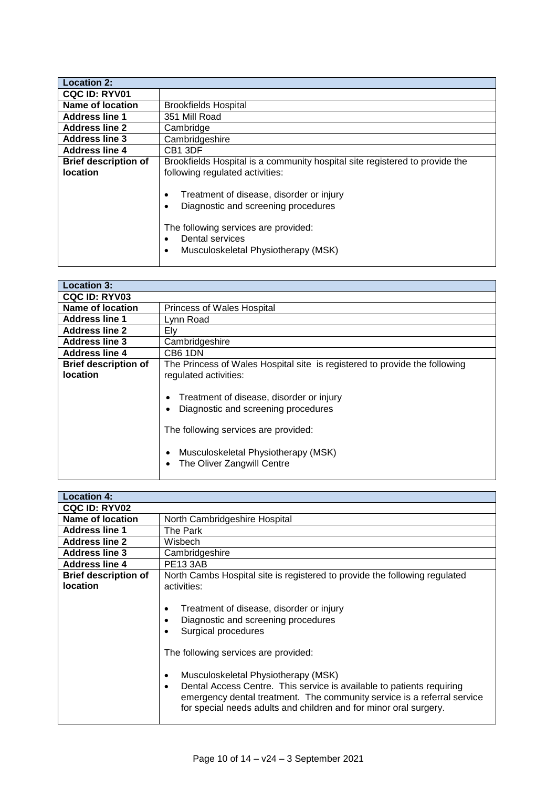| <b>Location 2:</b>          |                                                                                                                                                                                   |
|-----------------------------|-----------------------------------------------------------------------------------------------------------------------------------------------------------------------------------|
| <b>CQC ID: RYV01</b>        |                                                                                                                                                                                   |
| Name of location            | <b>Brookfields Hospital</b>                                                                                                                                                       |
| <b>Address line 1</b>       | 351 Mill Road                                                                                                                                                                     |
| <b>Address line 2</b>       | Cambridge                                                                                                                                                                         |
| <b>Address line 3</b>       | Cambridgeshire                                                                                                                                                                    |
| <b>Address line 4</b>       | CB <sub>1</sub> 3DF                                                                                                                                                               |
| <b>Brief description of</b> | Brookfields Hospital is a community hospital site registered to provide the                                                                                                       |
| <b>location</b>             | following regulated activities:                                                                                                                                                   |
|                             | Treatment of disease, disorder or injury<br>Diagnostic and screening procedures<br>The following services are provided:<br>Dental services<br>Musculoskeletal Physiotherapy (MSK) |

| <b>Location 3:</b>          |                                                                                                                                                                                              |
|-----------------------------|----------------------------------------------------------------------------------------------------------------------------------------------------------------------------------------------|
|                             |                                                                                                                                                                                              |
| <b>CQC ID: RYV03</b>        |                                                                                                                                                                                              |
| Name of location            | <b>Princess of Wales Hospital</b>                                                                                                                                                            |
| <b>Address line 1</b>       | Lynn Road                                                                                                                                                                                    |
| <b>Address line 2</b>       | Ely                                                                                                                                                                                          |
| <b>Address line 3</b>       | Cambridgeshire                                                                                                                                                                               |
| <b>Address line 4</b>       | CB6 1DN                                                                                                                                                                                      |
| <b>Brief description of</b> | The Princess of Wales Hospital site is registered to provide the following                                                                                                                   |
| <b>location</b>             | regulated activities:                                                                                                                                                                        |
|                             | Treatment of disease, disorder or injury<br>Diagnostic and screening procedures<br>The following services are provided:<br>Musculoskeletal Physiotherapy (MSK)<br>The Oliver Zangwill Centre |

| <b>Location 4:</b>                             |                                                                                                                                                                                                                                                                                                                                                                                                                                                       |
|------------------------------------------------|-------------------------------------------------------------------------------------------------------------------------------------------------------------------------------------------------------------------------------------------------------------------------------------------------------------------------------------------------------------------------------------------------------------------------------------------------------|
| <b>CQC ID: RYV02</b>                           |                                                                                                                                                                                                                                                                                                                                                                                                                                                       |
| Name of location                               | North Cambridgeshire Hospital                                                                                                                                                                                                                                                                                                                                                                                                                         |
| <b>Address line 1</b>                          | The Park                                                                                                                                                                                                                                                                                                                                                                                                                                              |
| <b>Address line 2</b>                          | Wisbech                                                                                                                                                                                                                                                                                                                                                                                                                                               |
| <b>Address line 3</b>                          | Cambridgeshire                                                                                                                                                                                                                                                                                                                                                                                                                                        |
| <b>Address line 4</b>                          | <b>PE13 3AB</b>                                                                                                                                                                                                                                                                                                                                                                                                                                       |
| <b>Brief description of</b><br><b>location</b> | North Cambs Hospital site is registered to provide the following regulated<br>activities:                                                                                                                                                                                                                                                                                                                                                             |
|                                                | Treatment of disease, disorder or injury<br>$\bullet$<br>Diagnostic and screening procedures<br>Surgical procedures<br>The following services are provided:<br>Musculoskeletal Physiotherapy (MSK)<br>$\bullet$<br>Dental Access Centre. This service is available to patients requiring<br>$\bullet$<br>emergency dental treatment. The community service is a referral service<br>for special needs adults and children and for minor oral surgery. |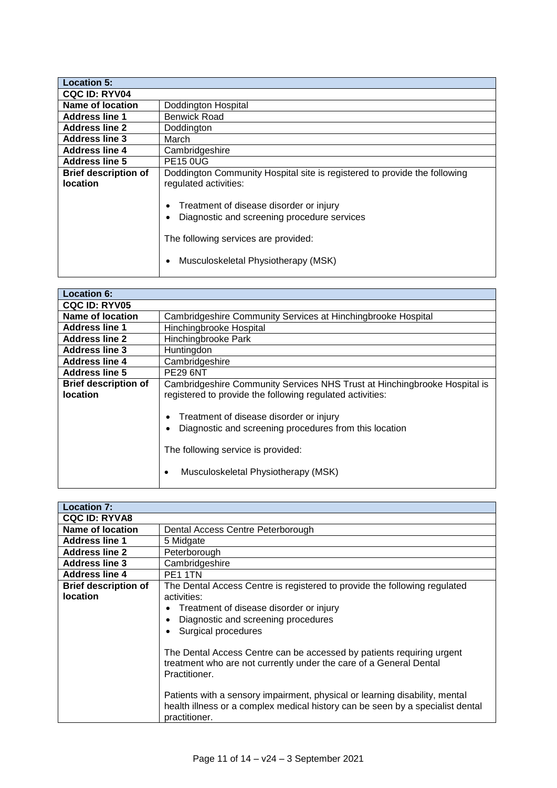| <b>Location 5:</b>                             |                                                                                                                                                                                                                                                                             |
|------------------------------------------------|-----------------------------------------------------------------------------------------------------------------------------------------------------------------------------------------------------------------------------------------------------------------------------|
| <b>CQC ID: RYV04</b>                           |                                                                                                                                                                                                                                                                             |
| Name of location                               | Doddington Hospital                                                                                                                                                                                                                                                         |
| <b>Address line 1</b>                          | Benwick Road                                                                                                                                                                                                                                                                |
| <b>Address line 2</b>                          | Doddington                                                                                                                                                                                                                                                                  |
| <b>Address line 3</b>                          | March                                                                                                                                                                                                                                                                       |
| <b>Address line 4</b>                          | Cambridgeshire                                                                                                                                                                                                                                                              |
| <b>Address line 5</b>                          | <b>PE15 0UG</b>                                                                                                                                                                                                                                                             |
| <b>Brief description of</b><br><b>location</b> | Doddington Community Hospital site is registered to provide the following<br>regulated activities:<br>Treatment of disease disorder or injury<br>Diagnostic and screening procedure services<br>The following services are provided:<br>Musculoskeletal Physiotherapy (MSK) |

| <b>Location 6:</b>                             |                                                                                                                                                                                                                                                                                                                               |
|------------------------------------------------|-------------------------------------------------------------------------------------------------------------------------------------------------------------------------------------------------------------------------------------------------------------------------------------------------------------------------------|
| <b>CQC ID: RYV05</b>                           |                                                                                                                                                                                                                                                                                                                               |
| Name of location                               | Cambridgeshire Community Services at Hinchingbrooke Hospital                                                                                                                                                                                                                                                                  |
| <b>Address line 1</b>                          | Hinchingbrooke Hospital                                                                                                                                                                                                                                                                                                       |
| <b>Address line 2</b>                          | Hinchingbrooke Park                                                                                                                                                                                                                                                                                                           |
| <b>Address line 3</b>                          | Huntingdon                                                                                                                                                                                                                                                                                                                    |
| <b>Address line 4</b>                          | Cambridgeshire                                                                                                                                                                                                                                                                                                                |
| <b>Address line 5</b>                          | <b>PE29 6NT</b>                                                                                                                                                                                                                                                                                                               |
| <b>Brief description of</b><br><b>location</b> | Cambridgeshire Community Services NHS Trust at Hinchingbrooke Hospital is<br>registered to provide the following regulated activities:<br>Treatment of disease disorder or injury<br>Diagnostic and screening procedures from this location<br>The following service is provided:<br>Musculoskeletal Physiotherapy (MSK)<br>٠ |

| <b>Location 7:</b>          |                                                                                                                                                                                |
|-----------------------------|--------------------------------------------------------------------------------------------------------------------------------------------------------------------------------|
| <b>CQC ID: RYVA8</b>        |                                                                                                                                                                                |
| Name of location            | Dental Access Centre Peterborough                                                                                                                                              |
| <b>Address line 1</b>       | 5 Midgate                                                                                                                                                                      |
| <b>Address line 2</b>       | Peterborough                                                                                                                                                                   |
| <b>Address line 3</b>       | Cambridgeshire                                                                                                                                                                 |
| <b>Address line 4</b>       | PE <sub>1</sub> 1TN                                                                                                                                                            |
| <b>Brief description of</b> | The Dental Access Centre is registered to provide the following regulated                                                                                                      |
| <b>location</b>             | activities:                                                                                                                                                                    |
|                             | Treatment of disease disorder or injury                                                                                                                                        |
|                             | Diagnostic and screening procedures                                                                                                                                            |
|                             | Surgical procedures                                                                                                                                                            |
|                             | The Dental Access Centre can be accessed by patients requiring urgent<br>treatment who are not currently under the care of a General Dental<br>Practitioner.                   |
|                             | Patients with a sensory impairment, physical or learning disability, mental<br>health illness or a complex medical history can be seen by a specialist dental<br>practitioner. |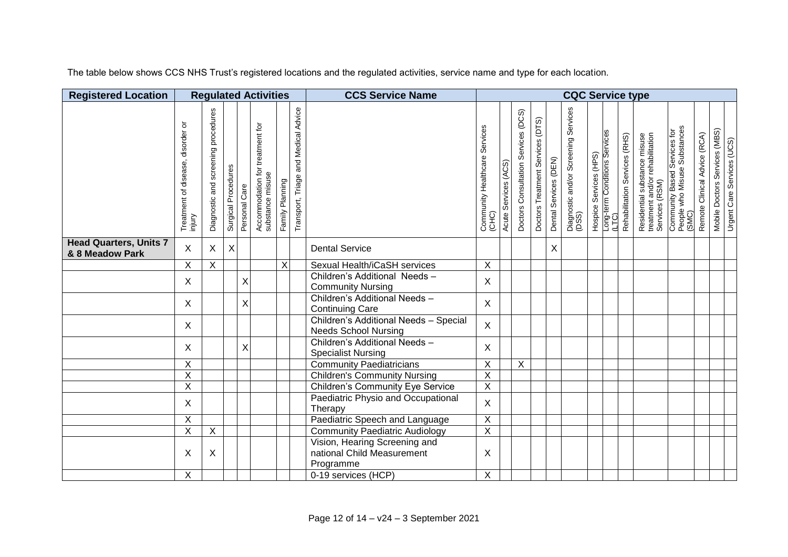The table below shows CCS NHS Trust's registered locations and the regulated activities, service name and type for each location.

| <b>Registered Location</b>                       |                                            |                                              |                     |                | <b>Regulated Activities</b>                         |                 |                                      | <b>CCS Service Name</b>                                                  | <b>CQC Service type</b>                |                            |                                     |                                     |                       |                                               |                        |                                        |                               |                                                                                   |                                                                       |                              |                               |                            |
|--------------------------------------------------|--------------------------------------------|----------------------------------------------|---------------------|----------------|-----------------------------------------------------|-----------------|--------------------------------------|--------------------------------------------------------------------------|----------------------------------------|----------------------------|-------------------------------------|-------------------------------------|-----------------------|-----------------------------------------------|------------------------|----------------------------------------|-------------------------------|-----------------------------------------------------------------------------------|-----------------------------------------------------------------------|------------------------------|-------------------------------|----------------------------|
|                                                  | Treatment of disease, disorder or<br>mjury | procedures<br>screening<br>and<br>Diagnostic | Surgical Procedures | Personal Care  | Accommodation for treatment for<br>substance misuse | Family Planning | Transport, Triage and Medical Advice |                                                                          | Community Healthcare Services<br>(CHC) | (ACS)<br>Services<br>Acute | Doctors Consultation Services (DCS) | (DTS)<br>Doctors Treatment Services | Dental Services (DEN) | Diagnostic and/or Screening Services<br>(DSS) | Hospice Services (HPS) | Long-term Conditions Services<br>(LTC) | Rehabilitation Services (RHS) | Residential substance misuse<br>treatment and/or rehabilitation<br>Services (RSM) | Community Based Services for<br>People who Misuse Substances<br>(SMC) | Remote Clinical Advice (RCA) | Mobile Doctors Services (MBS) | Urgent Care Services (UCS) |
| <b>Head Quarters, Units 7</b><br>& 8 Meadow Park | $\mathsf{X}$                               | X                                            | $\mathsf X$         |                |                                                     |                 |                                      | <b>Dental Service</b>                                                    |                                        |                            |                                     |                                     | $\mathsf X$           |                                               |                        |                                        |                               |                                                                                   |                                                                       |                              |                               |                            |
|                                                  | Χ                                          | Χ                                            |                     |                |                                                     | X               |                                      | Sexual Health/iCaSH services                                             | X                                      |                            |                                     |                                     |                       |                                               |                        |                                        |                               |                                                                                   |                                                                       |                              |                               |                            |
|                                                  | $\mathsf{X}$                               |                                              |                     | $\mathsf X$    |                                                     |                 |                                      | Children's Additional Needs-<br><b>Community Nursing</b>                 | X                                      |                            |                                     |                                     |                       |                                               |                        |                                        |                               |                                                                                   |                                                                       |                              |                               |                            |
|                                                  | $\mathsf{X}$                               |                                              |                     | $\pmb{\times}$ |                                                     |                 |                                      | Children's Additional Needs -<br><b>Continuing Care</b>                  | X                                      |                            |                                     |                                     |                       |                                               |                        |                                        |                               |                                                                                   |                                                                       |                              |                               |                            |
|                                                  | $\mathsf{X}$                               |                                              |                     |                |                                                     |                 |                                      | Children's Additional Needs - Special<br><b>Needs School Nursing</b>     | $\mathsf{X}$                           |                            |                                     |                                     |                       |                                               |                        |                                        |                               |                                                                                   |                                                                       |                              |                               |                            |
|                                                  | $\mathsf{X}$                               |                                              |                     | $\mathsf{X}$   |                                                     |                 |                                      | Children's Additional Needs-<br><b>Specialist Nursing</b>                | X                                      |                            |                                     |                                     |                       |                                               |                        |                                        |                               |                                                                                   |                                                                       |                              |                               |                            |
|                                                  | $\overline{X}$                             |                                              |                     |                |                                                     |                 |                                      | <b>Community Paediatricians</b>                                          | $\overline{X}$                         |                            | $\overline{X}$                      |                                     |                       |                                               |                        |                                        |                               |                                                                                   |                                                                       |                              |                               |                            |
|                                                  | $\overline{\mathsf{X}}$                    |                                              |                     |                |                                                     |                 |                                      | <b>Children's Community Nursing</b>                                      | $\overline{X}$                         |                            |                                     |                                     |                       |                                               |                        |                                        |                               |                                                                                   |                                                                       |                              |                               |                            |
|                                                  | $\overline{\mathsf{X}}$                    |                                              |                     |                |                                                     |                 |                                      | <b>Children's Community Eye Service</b>                                  | $\overline{\mathsf{X}}$                |                            |                                     |                                     |                       |                                               |                        |                                        |                               |                                                                                   |                                                                       |                              |                               |                            |
|                                                  | $\mathsf{X}$                               |                                              |                     |                |                                                     |                 |                                      | Paediatric Physio and Occupational<br>Therapy                            | $\mathsf{X}$                           |                            |                                     |                                     |                       |                                               |                        |                                        |                               |                                                                                   |                                                                       |                              |                               |                            |
|                                                  | $\mathsf X$                                |                                              |                     |                |                                                     |                 |                                      | Paediatric Speech and Language                                           | $\mathsf X$                            |                            |                                     |                                     |                       |                                               |                        |                                        |                               |                                                                                   |                                                                       |                              |                               |                            |
|                                                  | $\overline{\mathsf{X}}$                    | $\pmb{\times}$                               |                     |                |                                                     |                 |                                      | <b>Community Paediatric Audiology</b>                                    | $\overline{X}$                         |                            |                                     |                                     |                       |                                               |                        |                                        |                               |                                                                                   |                                                                       |                              |                               |                            |
|                                                  | $\sf X$                                    | X                                            |                     |                |                                                     |                 |                                      | Vision, Hearing Screening and<br>national Child Measurement<br>Programme | Χ                                      |                            |                                     |                                     |                       |                                               |                        |                                        |                               |                                                                                   |                                                                       |                              |                               |                            |
|                                                  | $\overline{X}$                             |                                              |                     |                |                                                     |                 |                                      | 0-19 services (HCP)                                                      | X                                      |                            |                                     |                                     |                       |                                               |                        |                                        |                               |                                                                                   |                                                                       |                              |                               |                            |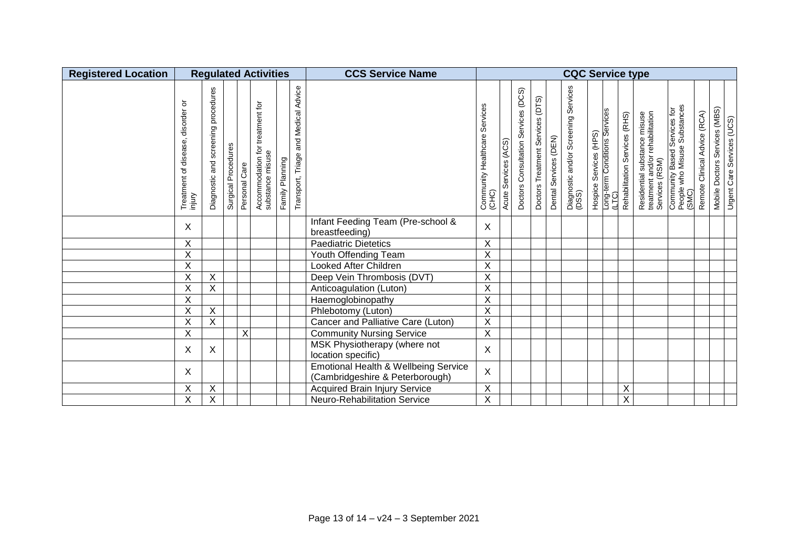| <b>Registered Location</b> |                                                      |                                                |                     |               | <b>Regulated Activities</b>                         |                 |                                         | <b>CCS Service Name</b>                                                 | <b>CQC Service type</b>                   |                            |                                        |                                     |                       |                                               |  |                                                                  |                               |                                                                                   |                                                                       |                              |                                                             |
|----------------------------|------------------------------------------------------|------------------------------------------------|---------------------|---------------|-----------------------------------------------------|-----------------|-----------------------------------------|-------------------------------------------------------------------------|-------------------------------------------|----------------------------|----------------------------------------|-------------------------------------|-----------------------|-----------------------------------------------|--|------------------------------------------------------------------|-------------------------------|-----------------------------------------------------------------------------------|-----------------------------------------------------------------------|------------------------------|-------------------------------------------------------------|
|                            | ৯<br>disorder<br>disease,<br>৳<br>Treatment<br>mjury | procedures<br>screening<br>and<br>Diagnostic a | Surgical Procedures | Personal Care | Accommodation for treatment for<br>substance misuse | Family Planning | and Medical Advice<br>Transport, Triage |                                                                         | Services<br>Community Healthcare<br>(CHC) | (ACS)<br>Services<br>Acute | Services (DCS)<br>Doctors Consultation | (DTS)<br>Doctors Treatment Services | Dental Services (DEN) | Diagnostic and/or Screening Services<br>(DSS) |  | Hospice Services (HPS)<br>Long-term Conditions Services<br>(LTC) | Rehabilitation Services (RHS) | Residential substance misuse<br>treatment and/or rehabilitation<br>Services (RSM) | Community Based Services for<br>People who Misuse Substances<br>(SMC) | Remote Clinical Advice (RCA) | Mobile Doctors Services (MBS)<br>Urgent Care Services (UCS) |
|                            | X                                                    |                                                |                     |               |                                                     |                 |                                         | Infant Feeding Team (Pre-school &<br>breastfeeding)                     | $\sf X$                                   |                            |                                        |                                     |                       |                                               |  |                                                                  |                               |                                                                                   |                                                                       |                              |                                                             |
|                            | X                                                    |                                                |                     |               |                                                     |                 |                                         | <b>Paediatric Dietetics</b>                                             | X                                         |                            |                                        |                                     |                       |                                               |  |                                                                  |                               |                                                                                   |                                                                       |                              |                                                             |
|                            | X                                                    |                                                |                     |               |                                                     |                 |                                         | Youth Offending Team                                                    | $\mathsf X$                               |                            |                                        |                                     |                       |                                               |  |                                                                  |                               |                                                                                   |                                                                       |                              |                                                             |
|                            | X                                                    |                                                |                     |               |                                                     |                 |                                         | Looked After Children                                                   | $\sf X$                                   |                            |                                        |                                     |                       |                                               |  |                                                                  |                               |                                                                                   |                                                                       |                              |                                                             |
|                            | Χ                                                    | $\boldsymbol{\mathsf{X}}$                      |                     |               |                                                     |                 |                                         | Deep Vein Thrombosis (DVT)                                              | $\sf X$                                   |                            |                                        |                                     |                       |                                               |  |                                                                  |                               |                                                                                   |                                                                       |                              |                                                             |
|                            | X                                                    | $\times$                                       |                     |               |                                                     |                 |                                         | Anticoagulation (Luton)                                                 | $\sf X$                                   |                            |                                        |                                     |                       |                                               |  |                                                                  |                               |                                                                                   |                                                                       |                              |                                                             |
|                            | X                                                    |                                                |                     |               |                                                     |                 |                                         | Haemoglobinopathy                                                       | X                                         |                            |                                        |                                     |                       |                                               |  |                                                                  |                               |                                                                                   |                                                                       |                              |                                                             |
|                            | X                                                    | $\boldsymbol{\mathsf{X}}$                      |                     |               |                                                     |                 |                                         | Phlebotomy (Luton)                                                      | $\sf X$                                   |                            |                                        |                                     |                       |                                               |  |                                                                  |                               |                                                                                   |                                                                       |                              |                                                             |
|                            | Χ                                                    | $\boldsymbol{\mathsf{X}}$                      |                     |               |                                                     |                 |                                         | Cancer and Palliative Care (Luton)                                      | $\mathsf X$                               |                            |                                        |                                     |                       |                                               |  |                                                                  |                               |                                                                                   |                                                                       |                              |                                                             |
|                            | X                                                    |                                                |                     | X             |                                                     |                 |                                         | <b>Community Nursing Service</b>                                        | $\mathsf X$                               |                            |                                        |                                     |                       |                                               |  |                                                                  |                               |                                                                                   |                                                                       |                              |                                                             |
|                            | X                                                    | $\boldsymbol{\mathsf{X}}$                      |                     |               |                                                     |                 |                                         | MSK Physiotherapy (where not<br>location specific)                      | X                                         |                            |                                        |                                     |                       |                                               |  |                                                                  |                               |                                                                                   |                                                                       |                              |                                                             |
|                            | X                                                    |                                                |                     |               |                                                     |                 |                                         | Emotional Health & Wellbeing Service<br>(Cambridgeshire & Peterborough) | $\mathsf X$                               |                            |                                        |                                     |                       |                                               |  |                                                                  |                               |                                                                                   |                                                                       |                              |                                                             |
|                            | Χ                                                    | $\overline{\mathsf{x}}$                        |                     |               |                                                     |                 |                                         | <b>Acquired Brain Injury Service</b>                                    | $\mathsf X$                               |                            |                                        |                                     |                       |                                               |  |                                                                  | Χ                             |                                                                                   |                                                                       |                              |                                                             |
|                            | $\overline{X}$                                       | $\overline{X}$                                 |                     |               |                                                     |                 |                                         | <b>Neuro-Rehabilitation Service</b>                                     | $\overline{X}$                            |                            |                                        |                                     |                       |                                               |  |                                                                  | $\overline{\mathsf{X}}$       |                                                                                   |                                                                       |                              |                                                             |